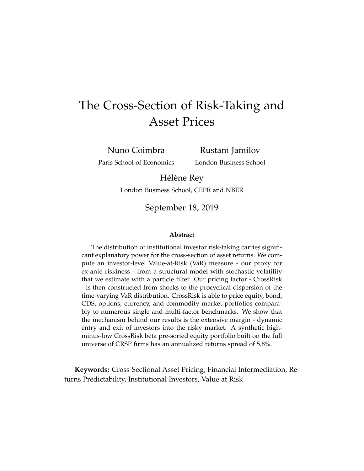# <span id="page-0-0"></span>The Cross-Section of Risk-Taking and Asset Prices

Nuno Coimbra Paris School of Economics

Rustam Jamilov London Business School

Hélène Rey

London Business School, CEPR and NBER

September 18, 2019

#### **Abstract**

The distribution of institutional investor risk-taking carries significant explanatory power for the cross-section of asset returns. We compute an investor-level Value-at-Risk (VaR) measure - our proxy for ex-ante riskiness - from a structural model with stochastic volatility that we estimate with a particle filter. Our pricing factor - CrossRisk - is then constructed from shocks to the procyclical dispersion of the time-varying VaR distribution. CrossRisk is able to price equity, bond, CDS, options, currency, and commodity market portfolios comparably to numerous single and multi-factor benchmarks. We show that the mechanism behind our results is the extensive margin - dynamic entry and exit of investors into the risky market. A synthetic highminus-low CrossRisk beta pre-sorted equity portfolio built on the full universe of CRSP firms has an annualized returns spread of 5.8%.

**Keywords:** Cross-Sectional Asset Pricing, Financial Intermediation, Returns Predictability, Institutional Investors, Value at Risk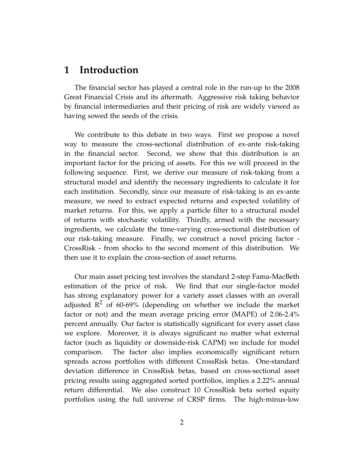## **1 Introduction**

The financial sector has played a central role in the run-up to the 2008 Great Financial Crisis and its aftermath. Aggressive risk taking behavior by financial intermediaries and their pricing of risk are widely viewed as having sowed the seeds of the crisis.

We contribute to this debate in two ways. First we propose a novel way to measure the cross-sectional distribution of ex-ante risk-taking in the financial sector. Second, we show that this distribution is an important factor for the pricing of assets. For this we will proceed in the following sequence. First, we derive our measure of risk-taking from a structural model and identify the necessary ingredients to calculate it for each institution. Secondly, since our measure of risk-taking is an ex-ante measure, we need to extract expected returns and expected volatility of market returns. For this, we apply a particle filter to a structural model of returns with stochastic volatility. Thirdly, armed with the necessary ingredients, we calculate the time-varying cross-sectional distribution of our risk-taking measure. Finally, we construct a novel pricing factor - CrossRisk - from shocks to the second moment of this distribution. We then use it to explain the cross-section of asset returns.

Our main asset pricing test involves the standard 2-step Fama-MacBeth estimation of the price of risk. We find that our single-factor model has strong explanatory power for a variety asset classes with an overall adjusted  $\mathbb{R}^2$  of 60-69% (depending on whether we include the market factor or not) and the mean average pricing error (MAPE) of 2.06-2.4% percent annually. Our factor is statistically significant for every asset class we explore. Moreover, it is always significant no matter what external factor (such as liquidity or downside-risk CAPM) we include for model comparison. The factor also implies economically significant return spreads across portfolios with different CrossRisk betas. One-standard deviation difference in CrossRisk betas, based on cross-sectional asset pricing results using aggregated sorted portfolios, implies a 2.22% annual return differential. We also construct 10 CrossRisk beta sorted equity portfolios using the full universe of CRSP firms. The high-minus-low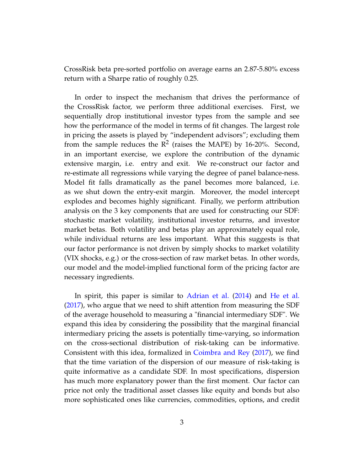CrossRisk beta pre-sorted portfolio on average earns an 2.87-5.80% excess return with a Sharpe ratio of roughly 0.25.

In order to inspect the mechanism that drives the performance of the CrossRisk factor, we perform three additional exercises. First, we sequentially drop institutional investor types from the sample and see how the performance of the model in terms of fit changes. The largest role in pricing the assets is played by "independent advisors"; excluding them from the sample reduces the  $\mathbb{R}^2$  (raises the MAPE) by 16-20%. Second, in an important exercise, we explore the contribution of the dynamic extensive margin, i.e. entry and exit. We re-construct our factor and re-estimate all regressions while varying the degree of panel balance-ness. Model fit falls dramatically as the panel becomes more balanced, i.e. as we shut down the entry-exit margin. Moreover, the model intercept explodes and becomes highly significant. Finally, we perform attribution analysis on the 3 key components that are used for constructing our SDF: stochastic market volatility, institutional investor returns, and investor market betas. Both volatility and betas play an approximately equal role, while individual returns are less important. What this suggests is that our factor performance is not driven by simply shocks to market volatility (VIX shocks, e.g.) or the cross-section of raw market betas. In other words, our model and the model-implied functional form of the pricing factor are necessary ingredients.

In spirit, this paper is similar to [Adrian et al.](#page-31-0) [\(2014\)](#page-31-0) and [He et al.](#page-33-0) [\(2017\)](#page-33-0), who argue that we need to shift attention from measuring the SDF of the average household to measuring a "financial intermediary SDF". We expand this idea by considering the possibility that the marginal financial intermediary pricing the assets is potentially time-varying, so information on the cross-sectional distribution of risk-taking can be informative. Consistent with this idea, formalized in [Coimbra and Rey](#page-32-0) [\(2017\)](#page-32-0), we find that the time variation of the dispersion of our measure of risk-taking is quite informative as a candidate SDF. In most specifications, dispersion has much more explanatory power than the first moment. Our factor can price not only the traditional asset classes like equity and bonds but also more sophisticated ones like currencies, commodities, options, and credit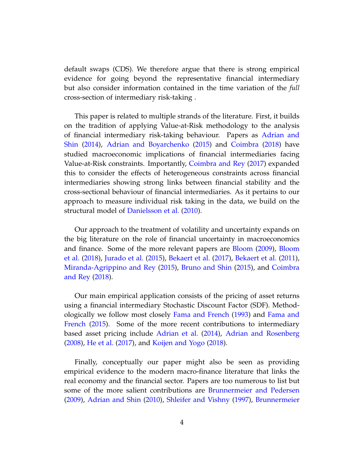default swaps (CDS). We therefore argue that there is strong empirical evidence for going beyond the representative financial intermediary but also consider information contained in the time variation of the *full* cross-section of intermediary risk-taking .

This paper is related to multiple strands of the literature. First, it builds on the tradition of applying Value-at-Risk methodology to the analysis of financial intermediary risk-taking behaviour. Papers as [Adrian and](#page-31-1) [Shin](#page-31-1) [\(2014\)](#page-31-1), [Adrian and Boyarchenko](#page-31-2) [\(2015\)](#page-31-2) and [Coimbra](#page-32-1) [\(2018\)](#page-32-1) have studied macroeconomic implications of financial intermediaries facing Value-at-Risk constraints. Importantly, [Coimbra and Rey](#page-32-0) [\(2017\)](#page-32-0) expanded this to consider the effects of heterogeneous constraints across financial intermediaries showing strong links between financial stability and the cross-sectional behaviour of financial intermediaries. As it pertains to our approach to measure individual risk taking in the data, we build on the structural model of [Danielsson et al.](#page-32-2) [\(2010\)](#page-32-2).

Our approach to the treatment of volatility and uncertainty expands on the big literature on the role of financial uncertainty in macroeconomics and finance. Some of the more relevant papers are [Bloom](#page-31-3) [\(2009\)](#page-31-3), [Bloom](#page-31-4) [et al.](#page-31-4) [\(2018\)](#page-31-4), [Jurado et al.](#page-33-1) [\(2015\)](#page-33-1), [Bekaert et al.](#page-31-5) [\(2017\)](#page-31-5), [Bekaert et al.](#page-31-6) [\(2011\)](#page-31-6), [Miranda-Agrippino and Rey](#page-33-2) [\(2015\)](#page-33-2), [Bruno and Shin](#page-32-3) [\(2015\)](#page-32-3), and [Coimbra](#page-32-4) [and Rey](#page-32-4) [\(2018\)](#page-32-4).

Our main empirical application consists of the pricing of asset returns using a financial intermediary Stochastic Discount Factor (SDF). Methodologically we follow most closely [Fama and French](#page-32-5) [\(1993\)](#page-32-5) and [Fama and](#page-32-6) [French](#page-32-6) [\(2015\)](#page-32-6). Some of the more recent contributions to intermediary based asset pricing include [Adrian et al.](#page-31-0) [\(2014\)](#page-31-0), [Adrian and Rosenberg](#page-31-7) [\(2008\)](#page-31-7), [He et al.](#page-33-0) [\(2017\)](#page-33-0), and [Koijen and Yogo](#page-33-3) [\(2018\)](#page-33-3).

Finally, conceptually our paper might also be seen as providing empirical evidence to the modern macro-finance literature that links the real economy and the financial sector. Papers are too numerous to list but some of the more salient contributions are [Brunnermeier and Pedersen](#page-32-7) [\(2009\)](#page-32-7), [Adrian and Shin](#page-31-8) [\(2010\)](#page-31-8), [Shleifer and Vishny](#page-33-4) [\(1997\)](#page-33-4), [Brunnermeier](#page-32-8)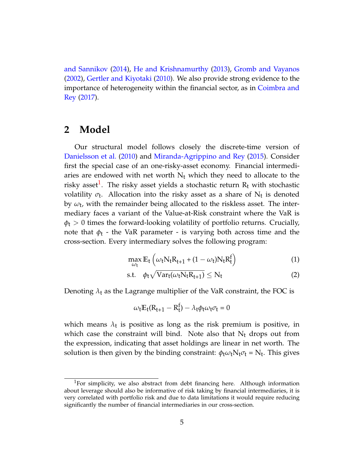[and Sannikov](#page-32-8) [\(2014\)](#page-32-8), [He and Krishnamurthy](#page-33-5) [\(2013\)](#page-33-5), [Gromb and Vayanos](#page-33-6) [\(2002\)](#page-33-6), [Gertler and Kiyotaki](#page-33-7) [\(2010\)](#page-33-7). We also provide strong evidence to the importance of heterogeneity within the financial sector, as in [Coimbra and](#page-32-0) [Rey](#page-32-0) [\(2017\)](#page-32-0).

## **2 Model**

Our structural model follows closely the discrete-time version of [Danielsson et al.](#page-32-2) [\(2010\)](#page-32-2) and [Miranda-Agrippino and Rey](#page-33-2) [\(2015\)](#page-33-2). Consider first the special case of an one-risky-asset economy. Financial intermediaries are endowed with net worth  $N_t$  which they need to allocate to the risky asset $^1$  $^1$ . The risky asset yields a stochastic return  $\rm R_t$  with stochastic volatility  $\sigma_{\textbf{t}}$ . Allocation into the risky asset as a share of  $\mathrm{N}_{\textbf{t}}$  is denoted by *ω*t , with the remainder being allocated to the riskless asset. The intermediary faces a variant of the Value-at-Risk constraint where the VaR is  $\phi_t > 0$  times the forward-looking volatility of portfolio returns. Crucially, note that  $\phi_t$  - the VaR parameter - is varying both across time and the cross-section. Every intermediary solves the following program:

$$
\max_{\omega_t} \mathbb{E}_t \left( \omega_t N_t R_{t+1} + (1 - \omega_t) N_t R_t^f \right) \tag{1}
$$

$$
\text{s.t.} \quad \phi_t \sqrt{\text{Var}_t(\omega_t \text{N}_t \text{R}_{t+1})} \leq \text{N}_t \tag{2}
$$

Denoting  $\lambda_t$  as the Lagrange multiplier of the VaR constraint, the FOC is

$$
\omega_{t}E_{t}(R_{t+1}-R_{t}^{f})-\lambda_{t}\phi_{t}\omega_{t}\sigma_{t}=0
$$

which means  $\lambda_t$  is positive as long as the risk premium is positive, in which case the constraint will bind. Note also that  $N_t$  drops out from the expression, indicating that asset holdings are linear in net worth. The solution is then given by the binding constraint:  $\phi_t \omega_t N_t \sigma_t = N_t$ . This gives

<sup>&</sup>lt;sup>1</sup>For simplicity, we also abstract from debt financing here. Although information about leverage should also be informative of risk taking by financial intermediaries, it is very correlated with portfolio risk and due to data limitations it would require reducing significantly the number of financial intermediaries in our cross-section.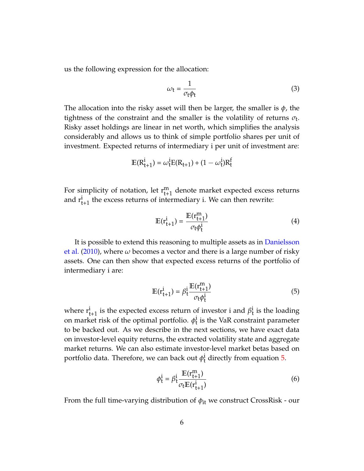us the following expression for the allocation:

$$
\omega_{t} = \frac{1}{\sigma_{t}\phi_{t}}\tag{3}
$$

The allocation into the risky asset will then be larger, the smaller is *φ*, the tightness of the constraint and the smaller is the volatility of returns  $\sigma_t$ . Risky asset holdings are linear in net worth, which simplifies the analysis considerably and allows us to think of simple portfolio shares per unit of investment. Expected returns of intermediary i per unit of investment are:

$$
E(R_{t+1}^{i}) = \omega_{t}^{i}E(R_{t+1}) + (1 - \omega_{t}^{i})R_{t}^{f}
$$

For simplicity of notation, let  $r_{t+1}^m$  denote market expected excess returns and  $r_{t+1}^i$  the excess returns of intermediary i. We can then rewrite:

$$
\mathbb{E}(\mathbf{r}_{t+1}^i) = \frac{\mathbb{E}(\mathbf{r}_{t+1}^m)}{\sigma_t \phi_t^i} \tag{4}
$$

It is possible to extend this reasoning to multiple assets as in [Danielsson](#page-32-2) [et al.](#page-32-2) [\(2010\)](#page-32-2), where  $\omega$  becomes a vector and there is a large number of risky assets. One can then show that expected excess returns of the portfolio of intermediary i are:

<span id="page-5-0"></span>
$$
\mathbb{E}(\mathbf{r}_{t+1}^i) = \beta_t^i \frac{\mathbb{E}(\mathbf{r}_{t+1}^m)}{\sigma_t \phi_t^i}
$$
(5)

where  $\mathbf{r}_{t+1}^i$  is the expected excess return of investor i and  $\beta_t^i$  is the loading on market risk of the optimal portfolio.  $\phi_t^i$  is the VaR constraint parameter to be backed out. As we describe in the next sections, we have exact data on investor-level equity returns, the extracted volatility state and aggregate market returns. We can also estimate investor-level market betas based on portfolio data. Therefore, we can back out  $\phi_t^i$  directly from equation [5.](#page-5-0)

<span id="page-5-1"></span>
$$
\phi_t^i = \beta_t^i \frac{\mathbb{E}(\mathbf{r}_{t+1}^m)}{\sigma_t \mathbb{E}(\mathbf{r}_{t+1}^i)}
$$
(6)

From the full time-varying distribution of  $\phi_{it}$  we construct CrossRisk - our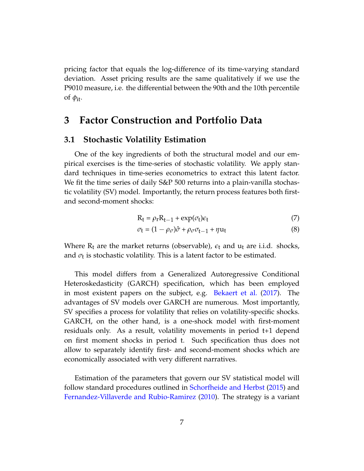pricing factor that equals the log-difference of its time-varying standard deviation. Asset pricing results are the same qualitatively if we use the P9010 measure, i.e. the differential between the 90th and the 10th percentile of  $\phi_{it}$ .

## **3 Factor Construction and Portfolio Data**

### **3.1 Stochastic Volatility Estimation**

One of the key ingredients of both the structural model and our empirical exercises is the time-series of stochastic volatility. We apply standard techniques in time-series econometrics to extract this latent factor. We fit the time series of daily S&P 500 returns into a plain-vanilla stochastic volatility (SV) model. Importantly, the return process features both firstand second-moment shocks:

<span id="page-6-0"></span>
$$
R_t = \rho_r R_{t-1} + \exp(\sigma_t) \epsilon_t \tag{7}
$$

$$
\sigma_{t} = (1 - \rho_{\sigma})\hat{\sigma} + \rho_{\sigma}\sigma_{t-1} + \eta u_{t}
$$
\n(8)

Where  $R_t$  are the market returns (observable),  $\epsilon_t$  and  $u_t$  are i.i.d. shocks, and  $\sigma_{\text{t}}$  is stochastic volatility. This is a latent factor to be estimated.

This model differs from a Generalized Autoregressive Conditional Heteroskedasticity (GARCH) specification, which has been employed in most existent papers on the subject, e.g. [Bekaert et al.](#page-31-5) [\(2017\)](#page-31-5). The advantages of SV models over GARCH are numerous. Most importantly, SV specifies a process for volatility that relies on volatility-specific shocks. GARCH, on the other hand, is a one-shock model with first-moment residuals only. As a result, volatility movements in period t+1 depend on first moment shocks in period t. Such specification thus does not allow to separately identify first- and second-moment shocks which are economically associated with very different narratives.

Estimation of the parameters that govern our SV statistical model will follow standard procedures outlined in [Schorfheide and Herbst](#page-33-8) [\(2015\)](#page-33-8) and [Fernandez-Villaverde and Rubio-Ramirez](#page-32-9) [\(2010\)](#page-32-9). The strategy is a variant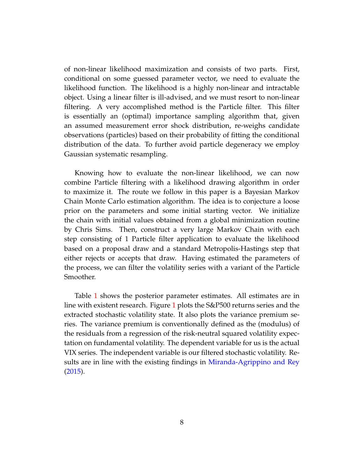of non-linear likelihood maximization and consists of two parts. First, conditional on some guessed parameter vector, we need to evaluate the likelihood function. The likelihood is a highly non-linear and intractable object. Using a linear filter is ill-advised, and we must resort to non-linear filtering. A very accomplished method is the Particle filter. This filter is essentially an (optimal) importance sampling algorithm that, given an assumed measurement error shock distribution, re-weighs candidate observations (particles) based on their probability of fitting the conditional distribution of the data. To further avoid particle degeneracy we employ Gaussian systematic resampling.

Knowing how to evaluate the non-linear likelihood, we can now combine Particle filtering with a likelihood drawing algorithm in order to maximize it. The route we follow in this paper is a Bayesian Markov Chain Monte Carlo estimation algorithm. The idea is to conjecture a loose prior on the parameters and some initial starting vector. We initialize the chain with initial values obtained from a global minimization routine by Chris Sims. Then, construct a very large Markov Chain with each step consisting of 1 Particle filter application to evaluate the likelihood based on a proposal draw and a standard Metropolis-Hastings step that either rejects or accepts that draw. Having estimated the parameters of the process, we can filter the volatility series with a variant of the Particle Smoother.

Table [1](#page-22-0) shows the posterior parameter estimates. All estimates are in line with existent research. Figure [1](#page-17-0) plots the S&P500 returns series and the extracted stochastic volatility state. It also plots the variance premium series. The variance premium is conventionally defined as the (modulus) of the residuals from a regression of the risk-neutral squared volatility expectation on fundamental volatility. The dependent variable for us is the actual VIX series. The independent variable is our filtered stochastic volatility. Results are in line with the existing findings in [Miranda-Agrippino and Rey](#page-33-2) [\(2015\)](#page-33-2).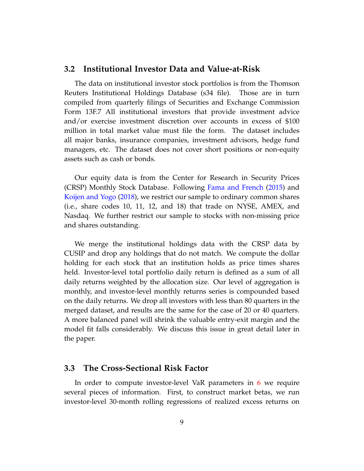### **3.2 Institutional Investor Data and Value-at-Risk**

The data on institutional investor stock portfolios is from the Thomson Reuters Institutional Holdings Database (s34 file). Those are in turn compiled from quarterly filings of Securities and Exchange Commission Form 13F.7 All institutional investors that provide investment advice and/or exercise investment discretion over accounts in excess of \$100 million in total market value must file the form. The dataset includes all major banks, insurance companies, investment advisors, hedge fund managers, etc. The dataset does not cover short positions or non-equity assets such as cash or bonds.

Our equity data is from the Center for Research in Security Prices (CRSP) Monthly Stock Database. Following [Fama and French](#page-32-6) [\(2015\)](#page-32-6) and [Koijen and Yogo](#page-33-3) [\(2018\)](#page-33-3), we restrict our sample to ordinary common shares (i.e., share codes 10, 11, 12, and 18) that trade on NYSE, AMEX, and Nasdaq. We further restrict our sample to stocks with non-missing price and shares outstanding.

We merge the institutional holdings data with the CRSP data by CUSIP and drop any holdings that do not match. We compute the dollar holding for each stock that an institution holds as price times shares held. Investor-level total portfolio daily return is defined as a sum of all daily returns weighted by the allocation size. Our level of aggregation is monthly, and investor-level monthly returns series is compounded based on the daily returns. We drop all investors with less than 80 quarters in the merged dataset, and results are the same for the case of 20 or 40 quarters. A more balanced panel will shrink the valuable entry-exit margin and the model fit falls considerably. We discuss this issue in great detail later in the paper.

### **3.3 The Cross-Sectional Risk Factor**

In order to compute investor-level VaR parameters in [6](#page-5-1) we require several pieces of information. First, to construct market betas, we run investor-level 30-month rolling regressions of realized excess returns on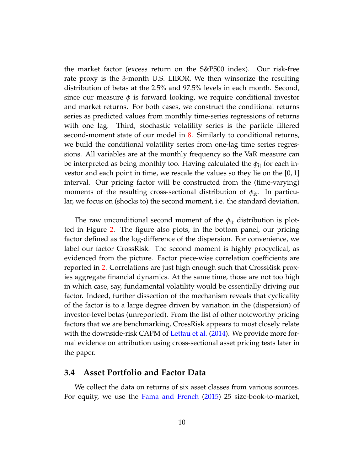the market factor (excess return on the S&P500 index). Our risk-free rate proxy is the 3-month U.S. LIBOR. We then winsorize the resulting distribution of betas at the 2.5% and 97.5% levels in each month. Second, since our measure  $\phi$  is forward looking, we require conditional investor and market returns. For both cases, we construct the conditional returns series as predicted values from monthly time-series regressions of returns with one lag. Third, stochastic volatility series is the particle filtered second-moment state of our model in [8.](#page-6-0) Similarly to conditional returns, we build the conditional volatility series from one-lag time series regressions. All variables are at the monthly frequency so the VaR measure can be interpreted as being monthly too. Having calculated the  $φ$ <sub>it</sub> for each investor and each point in time, we rescale the values so they lie on the [0, 1] interval. Our pricing factor will be constructed from the (time-varying) moments of the resulting cross-sectional distribution of  $\phi_{it}$ . In particular, we focus on (shocks to) the second moment, i.e. the standard deviation.

The raw unconditional second moment of the  $\phi_{it}$  distribution is plotted in Figure [2.](#page-18-0) The figure also plots, in the bottom panel, our pricing factor defined as the log-difference of the dispersion. For convenience, we label our factor CrossRisk. The second moment is highly procyclical, as evidenced from the picture. Factor piece-wise correlation coefficients are reported in [2.](#page-23-0) Correlations are just high enough such that CrossRisk proxies aggregate financial dynamics. At the same time, those are not too high in which case, say, fundamental volatility would be essentially driving our factor. Indeed, further dissection of the mechanism reveals that cyclicality of the factor is to a large degree driven by variation in the (dispersion) of investor-level betas (unreported). From the list of other noteworthy pricing factors that we are benchmarking, CrossRisk appears to most closely relate with the downside-risk CAPM of [Lettau et al.](#page-33-9) [\(2014\)](#page-33-9). We provide more formal evidence on attribution using cross-sectional asset pricing tests later in the paper.

### **3.4 Asset Portfolio and Factor Data**

We collect the data on returns of six asset classes from various sources. For equity, we use the [Fama and French](#page-32-6) [\(2015\)](#page-32-6) 25 size-book-to-market,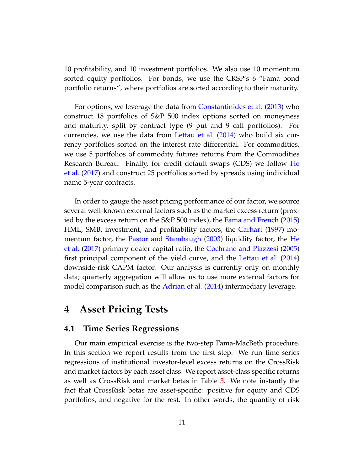10 profitability, and 10 investment portfolios. We also use 10 momentum sorted equity portfolios. For bonds, we use the CRSP's 6 "Fama bond portfolio returns", where portfolios are sorted according to their maturity.

For options, we leverage the data from [Constantinides et al.](#page-32-10) [\(2013\)](#page-32-10) who construct 18 portfolios of S&P 500 index options sorted on moneyness and maturity, split by contract type (9 put and 9 call portfolios). For currencies, we use the data from [Lettau et al.](#page-33-9) [\(2014\)](#page-33-9) who build six currency portfolios sorted on the interest rate differential. For commodities, we use 5 portfolios of commodity futures returns from the Commodities Research Bureau. Finally, for credit default swaps (CDS) we follow [He](#page-33-0) [et al.](#page-33-0) [\(2017\)](#page-33-0) and construct 25 portfolios sorted by spreads using individual name 5-year contracts.

In order to gauge the asset pricing performance of our factor, we source several well-known external factors such as the market excess return (proxied by the excess return on the S&P 500 index), the [Fama and French](#page-32-6) [\(2015\)](#page-32-6) HML, SMB, investment, and profitability factors, the [Carhart](#page-32-11) [\(1997\)](#page-32-11) momentum factor, the [Pastor and Stambaugh](#page-33-10) [\(2003\)](#page-33-10) liquidity factor, the [He](#page-33-0) [et al.](#page-33-0) [\(2017\)](#page-33-0) primary dealer capital ratio, the [Cochrane and Piazzesi](#page-32-12) [\(2005\)](#page-32-12) first principal component of the yield curve, and the [Lettau et al.](#page-33-9) [\(2014\)](#page-33-9) downside-risk CAPM factor. Our analysis is currently only on monthly data; quarterly aggregation will allow us to use more external factors for model comparison such as the [Adrian et al.](#page-31-0) [\(2014\)](#page-31-0) intermediary leverage.

## **4 Asset Pricing Tests**

### **4.1 Time Series Regressions**

Our main empirical exercise is the two-step Fama-MacBeth procedure. In this section we report results from the first step. We run time-series regressions of institutional investor-level excess returns on the CrossRisk and market factors by each asset class. We report asset-class specific returns as well as CrossRisk and market betas in Table [3.](#page-24-0) We note instantly the fact that CrossRisk betas are asset-specific: positive for equity and CDS portfolios, and negative for the rest. In other words, the quantity of risk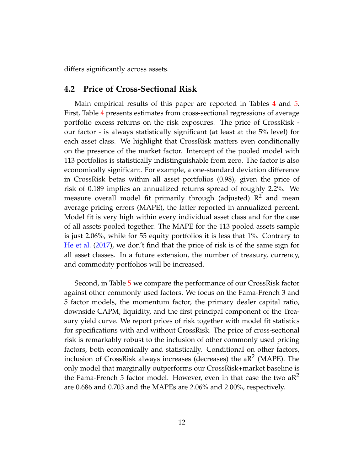differs significantly across assets.

### **4.2 Price of Cross-Sectional Risk**

Main empirical results of this paper are reported in Tables [4](#page-25-0) and [5.](#page-26-0) First, Table [4](#page-25-0) presents estimates from cross-sectional regressions of average portfolio excess returns on the risk exposures. The price of CrossRisk our factor - is always statistically significant (at least at the 5% level) for each asset class. We highlight that CrossRisk matters even conditionally on the presence of the market factor. Intercept of the pooled model with 113 portfolios is statistically indistinguishable from zero. The factor is also economically significant. For example, a one-standard deviation difference in CrossRisk betas within all asset portfolios (0.98), given the price of risk of 0.189 implies an annualized returns spread of roughly 2.2%. We measure overall model fit primarily through (adjusted)  $R^2$  and mean average pricing errors (MAPE), the latter reported in annualized percent. Model fit is very high within every individual asset class and for the case of all assets pooled together. The MAPE for the 113 pooled assets sample is just 2.06%, while for 55 equity portfolios it is less that 1%. Contrary to [He et al.](#page-33-0) [\(2017\)](#page-33-0), we don't find that the price of risk is of the same sign for all asset classes. In a future extension, the number of treasury, currency, and commodity portfolios will be increased.

Second, in Table [5](#page-26-0) we compare the performance of our CrossRisk factor against other commonly used factors. We focus on the Fama-French 3 and 5 factor models, the momentum factor, the primary dealer capital ratio, downside CAPM, liquidity, and the first principal component of the Treasury yield curve. We report prices of risk together with model fit statistics for specifications with and without CrossRisk. The price of cross-sectional risk is remarkably robust to the inclusion of other commonly used pricing factors, both economically and statistically. Conditional on other factors, inclusion of CrossRisk always increases (decreases) the aR<sup>2</sup> (MAPE). The only model that marginally outperforms our CrossRisk+market baseline is the Fama-French 5 factor model. However, even in that case the two  $aR^2$ are 0.686 and 0.703 and the MAPEs are 2.06% and 2.00%, respectively.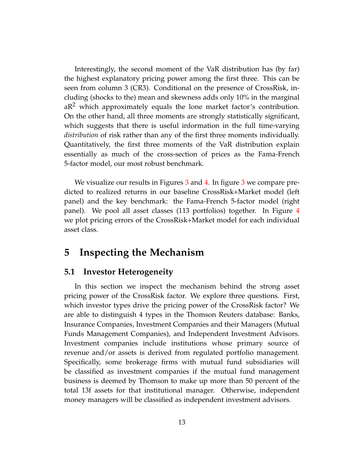Interestingly, the second moment of the VaR distribution has (by far) the highest explanatory pricing power among the first three. This can be seen from column 3 (CR3). Conditional on the presence of CrossRisk, including (shocks to the) mean and skewness adds only 10% in the marginal  $aR<sup>2</sup>$  which approximately equals the lone market factor's contribution. On the other hand, all three moments are strongly statistically significant, which suggests that there is useful information in the full time-varying *distribution* of risk rather than any of the first three moments individually. Quantitatively, the first three moments of the VaR distribution explain essentially as much of the cross-section of prices as the Fama-French 5-factor model, our most robust benchmark.

We visualize our results in Figures [3](#page-19-0) and [4.](#page-20-0) In figure 3 we compare predicted to realized returns in our baseline CrossRisk+Market model (left panel) and the key benchmark: the Fama-French 5-factor model (right panel). We pool all asset classes (113 portfolios) together. In Figure [4](#page-20-0) we plot pricing errors of the CrossRisk+Market model for each individual asset class.

## **5 Inspecting the Mechanism**

### **5.1 Investor Heterogeneity**

In this section we inspect the mechanism behind the strong asset pricing power of the CrossRisk factor. We explore three questions. First, which investor types drive the pricing power of the CrossRisk factor? We are able to distinguish 4 types in the Thomson Reuters database: Banks, Insurance Companies, Investment Companies and their Managers (Mutual Funds Management Companies), and Independent Investment Advisors. Investment companies include institutions whose primary source of revenue and/or assets is derived from regulated portfolio management. Specifically, some brokerage firms with mutual fund subsidiaries will be classified as investment companies if the mutual fund management business is deemed by Thomson to make up more than 50 percent of the total 13f assets for that institutional manager. Otherwise, independent money managers will be classified as independent investment advisors.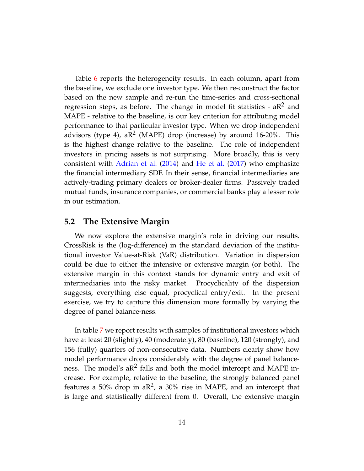Table [6](#page-27-0) reports the heterogeneity results. In each column, apart from the baseline, we exclude one investor type. We then re-construct the factor based on the new sample and re-run the time-series and cross-sectional regression steps, as before. The change in model fit statistics -  $aR^2$  and MAPE - relative to the baseline, is our key criterion for attributing model performance to that particular investor type. When we drop independent advisors (type 4), a $\mathbb{R}^2$  (MAPE) drop (increase) by around 16-20%. This is the highest change relative to the baseline. The role of independent investors in pricing assets is not surprising. More broadly, this is very consistent with [Adrian et al.](#page-31-0) [\(2014\)](#page-31-0) and [He et al.](#page-33-0) [\(2017\)](#page-33-0) who emphasize the financial intermediary SDF. In their sense, financial intermediaries are actively-trading primary dealers or broker-dealer firms. Passively traded mutual funds, insurance companies, or commercial banks play a lesser role in our estimation.

### **5.2 The Extensive Margin**

We now explore the extensive margin's role in driving our results. CrossRisk is the (log-difference) in the standard deviation of the institutional investor Value-at-Risk (VaR) distribution. Variation in dispersion could be due to either the intensive or extensive margin (or both). The extensive margin in this context stands for dynamic entry and exit of intermediaries into the risky market. Procyclicality of the dispersion suggests, everything else equal, procyclical entry/exit. In the present exercise, we try to capture this dimension more formally by varying the degree of panel balance-ness.

In table [7](#page-28-0) we report results with samples of institutional investors which have at least 20 (slightly), 40 (moderately), 80 (baseline), 120 (strongly), and 156 (fully) quarters of non-consecutive data. Numbers clearly show how model performance drops considerably with the degree of panel balanceness. The model's a $R^2$  falls and both the model intercept and MAPE increase. For example, relative to the baseline, the strongly balanced panel features a 50% drop in a $\mathbb{R}^2$ , a 30% rise in MAPE, and an intercept that is large and statistically different from 0. Overall, the extensive margin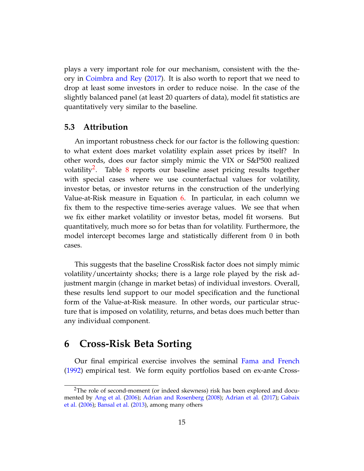plays a very important role for our mechanism, consistent with the theory in [Coimbra and Rey](#page-32-0) [\(2017\)](#page-32-0). It is also worth to report that we need to drop at least some investors in order to reduce noise. In the case of the slightly balanced panel (at least 20 quarters of data), model fit statistics are quantitatively very similar to the baseline.

### **5.3 Attribution**

An important robustness check for our factor is the following question: to what extent does market volatility explain asset prices by itself? In other words, does our factor simply mimic the VIX or S&P500 realized volatility<sup>[2](#page-0-0)</sup>. Table [8](#page-29-0) reports our baseline asset pricing results together with special cases where we use counterfactual values for volatility, investor betas, or investor returns in the construction of the underlying Value-at-Risk measure in Equation [6.](#page-5-1) In particular, in each column we fix them to the respective time-series average values. We see that when we fix either market volatility or investor betas, model fit worsens. But quantitatively, much more so for betas than for volatility. Furthermore, the model intercept becomes large and statistically different from 0 in both cases.

This suggests that the baseline CrossRisk factor does not simply mimic volatility/uncertainty shocks; there is a large role played by the risk adjustment margin (change in market betas) of individual investors. Overall, these results lend support to our model specification and the functional form of the Value-at-Risk measure. In other words, our particular structure that is imposed on volatility, returns, and betas does much better than any individual component.

## **6 Cross-Risk Beta Sorting**

Our final empirical exercise involves the seminal [Fama and French](#page-32-13) [\(1992\)](#page-32-13) empirical test. We form equity portfolios based on ex-ante Cross-

<sup>&</sup>lt;sup>2</sup>The role of second-moment (or indeed skewness) risk has been explored and documented by [Ang et al.](#page-31-9) [\(2006\)](#page-31-9); [Adrian and Rosenberg](#page-31-7) [\(2008\)](#page-31-7); [Adrian et al.](#page-31-10) [\(2017\)](#page-31-10); [Gabaix](#page-33-11) [et al.](#page-33-11) [\(2006\)](#page-33-11); [Bansal et al.](#page-31-11) [\(2013\)](#page-31-11), among many others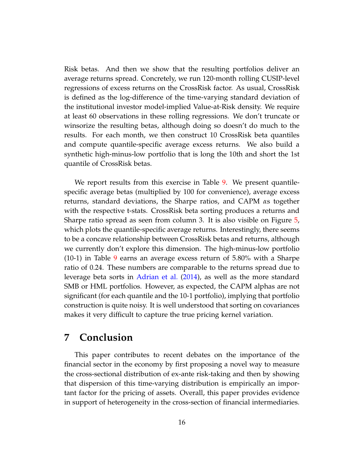Risk betas. And then we show that the resulting portfolios deliver an average returns spread. Concretely, we run 120-month rolling CUSIP-level regressions of excess returns on the CrossRisk factor. As usual, CrossRisk is defined as the log-difference of the time-varying standard deviation of the institutional investor model-implied Value-at-Risk density. We require at least 60 observations in these rolling regressions. We don't truncate or winsorize the resulting betas, although doing so doesn't do much to the results. For each month, we then construct 10 CrossRisk beta quantiles and compute quantile-specific average excess returns. We also build a synthetic high-minus-low portfolio that is long the 10th and short the 1st quantile of CrossRisk betas.

We report results from this exercise in Table [9.](#page-30-0) We present quantilespecific average betas (multiplied by 100 for convenience), average excess returns, standard deviations, the Sharpe ratios, and CAPM *α*s together with the respective t-stats. CrossRisk beta sorting produces a returns and Sharpe ratio spread as seen from column 3. It is also visible on Figure [5,](#page-21-0) which plots the quantile-specific average returns. Interestingly, there seems to be a concave relationship between CrossRisk betas and returns, although we currently don't explore this dimension. The high-minus-low portfolio (10-1) in Table [9](#page-30-0) earns an average excess return of 5.80% with a Sharpe ratio of 0.24. These numbers are comparable to the returns spread due to leverage beta sorts in [Adrian et al.](#page-31-0) [\(2014\)](#page-31-0), as well as the more standard SMB or HML portfolios. However, as expected, the CAPM alphas are not significant (for each quantile and the 10-1 portfolio), implying that portfolio construction is quite noisy. It is well understood that sorting on covariances makes it very difficult to capture the true pricing kernel variation.

## **7 Conclusion**

This paper contributes to recent debates on the importance of the financial sector in the economy by first proposing a novel way to measure the cross-sectional distribution of ex-ante risk-taking and then by showing that dispersion of this time-varying distribution is empirically an important factor for the pricing of assets. Overall, this paper provides evidence in support of heterogeneity in the cross-section of financial intermediaries.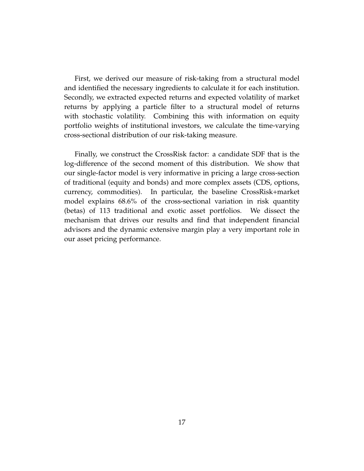First, we derived our measure of risk-taking from a structural model and identified the necessary ingredients to calculate it for each institution. Secondly, we extracted expected returns and expected volatility of market returns by applying a particle filter to a structural model of returns with stochastic volatility. Combining this with information on equity portfolio weights of institutional investors, we calculate the time-varying cross-sectional distribution of our risk-taking measure.

Finally, we construct the CrossRisk factor: a candidate SDF that is the log-difference of the second moment of this distribution. We show that our single-factor model is very informative in pricing a large cross-section of traditional (equity and bonds) and more complex assets (CDS, options, currency, commodities). In particular, the baseline CrossRisk+market model explains 68.6% of the cross-sectional variation in risk quantity (betas) of 113 traditional and exotic asset portfolios. We dissect the mechanism that drives our results and find that independent financial advisors and the dynamic extensive margin play a very important role in our asset pricing performance.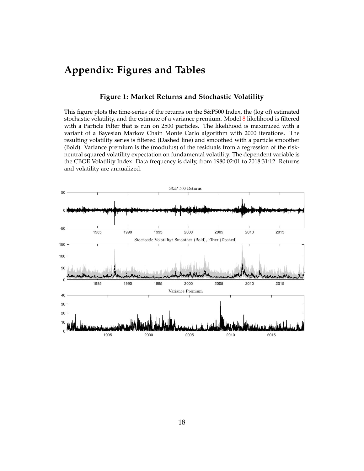## **Appendix: Figures and Tables**

### **Figure 1: Market Returns and Stochastic Volatility**

<span id="page-17-0"></span>This figure plots the time-series of the returns on the S&P500 Index, the (log of) estimated stochastic volatility, and the estimate of a variance premium. Model [8](#page-6-0) likelihood is filtered with a Particle Filter that is run on 2500 particles. The likelihood is maximized with a variant of a Bayesian Markov Chain Monte Carlo algorithm with 2000 iterations. The resulting volatility series is filtered (Dashed line) and smoothed with a particle smoother (Bold). Variance premium is the (modulus) of the residuals from a regression of the riskneutral squared volatility expectation on fundamental volatility. The dependent variable is the CBOE Volatility Index. Data frequency is daily, from 1980:02:01 to 2018:31:12. Returns and volatility are annualized.

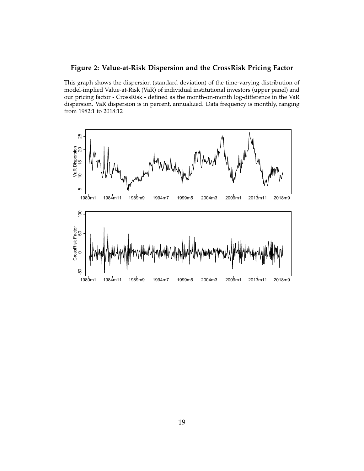### <span id="page-18-0"></span>**Figure 2: Value-at-Risk Dispersion and the CrossRisk Pricing Factor**

This graph shows the dispersion (standard deviation) of the time-varying distribution of model-implied Value-at-Risk (VaR) of individual institutional investors (upper panel) and our pricing factor - CrossRisk - defined as the month-on-month log-difference in the VaR dispersion. VaR dispersion is in percent, annualized. Data frequency is monthly, ranging from 1982:1 to 2018:12

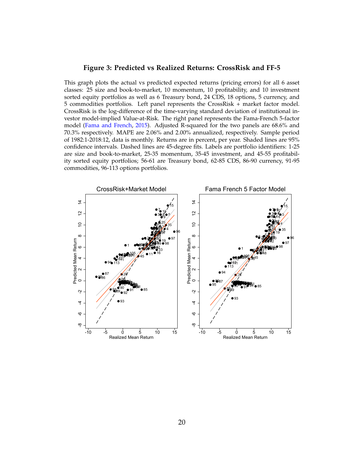### <span id="page-19-0"></span>**Figure 3: Predicted vs Realized Returns: CrossRisk and FF-5**

This graph plots the actual vs predicted expected returns (pricing errors) for all 6 asset classes: 25 size and book-to-market, 10 momentum, 10 profitability, and 10 investment sorted equity portfolios as well as 6 Treasury bond, 24 CDS, 18 options, 5 currency, and 5 commodities portfolios. Left panel represents the CrossRisk + market factor model. CrossRisk is the log-difference of the time-varying standard deviation of institutional investor model-implied Value-at-Risk. The right panel represents the Fama-French 5-factor model [\(Fama and French,](#page-32-6) [2015\)](#page-32-6). Adjusted R-squared for the two panels are 68.6% and 70.3% respectively. MAPE are 2.06% and 2.00% annualized, respectively. Sample period of 1982:1-2018:12, data is monthly. Returns are in percent, per year. Shaded lines are 95% confidence intervals. Dashed lines are 45-degree fits. Labels are portfolio identifiers: 1-25 are size and book-to-market, 25-35 momentum, 35-45 investment, and 45-55 profitability sorted equity portfolios; 56-61 are Treasury bond, 62-85 CDS, 86-90 currency, 91-95 commodities, 96-113 options portfolios.

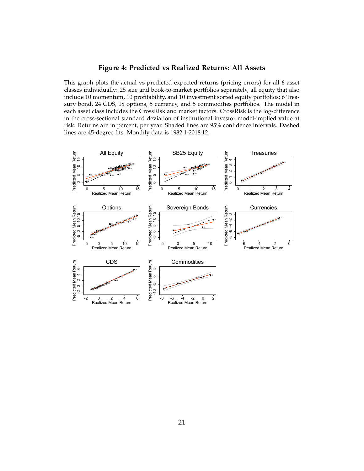### **Figure 4: Predicted vs Realized Returns: All Assets**

<span id="page-20-0"></span>This graph plots the actual vs predicted expected returns (pricing errors) for all 6 asset classes individually: 25 size and book-to-market portfolios separately, all equity that also include 10 momentum, 10 profitability, and 10 investment sorted equity portfolios; 6 Treasury bond, 24 CDS, 18 options, 5 currency, and 5 commodities portfolios. The model in each asset class includes the CrossRisk and market factors. CrossRisk is the log-difference in the cross-sectional standard deviation of institutional investor model-implied value at risk. Returns are in percent, per year. Shaded lines are 95% confidence intervals. Dashed lines are 45-degree fits. Monthly data is 1982:1-2018:12.

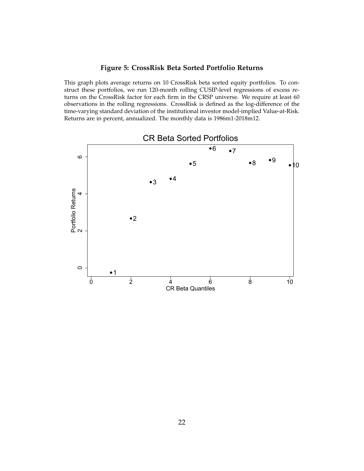### **Figure 5: CrossRisk Beta Sorted Portfolio Returns**

<span id="page-21-0"></span>This graph plots average returns on 10 CrossRisk beta sorted equity portfolios. To construct these portfolios, we run 120-month rolling CUSIP-level regressions of excess returns on the CrossRisk factor for each firm in the CRSP universe. We require at least 60 observations in the rolling regressions. CrossRisk is defined as the log-difference of the time-varying standard deviation of the institutional investor model-implied Value-at-Risk. Returns are in percent, annualized. The monthly data is 1986m1-2018m12.

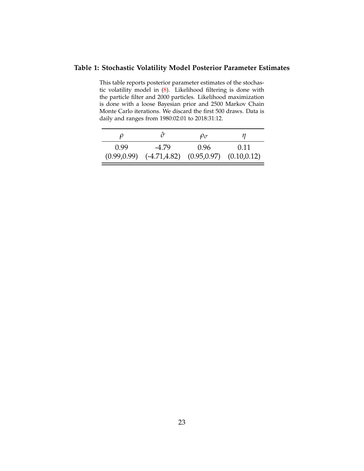### <span id="page-22-0"></span>**Table 1: Stochastic Volatility Model Posterior Parameter Estimates**

This table reports posterior parameter estimates of the stochastic volatility model in [\(8\)](#page-6-0). Likelihood filtering is done with the particle filter and 2000 particles. Likelihood maximization is done with a loose Bayesian prior and 2500 Markov Chain Monte Carlo iterations. We discard the first 500 draws. Data is daily and ranges from 1980:02:01 to 2018:31:12.

|      |                                                              | $\rho_{\sigma}$ | п    |  |
|------|--------------------------------------------------------------|-----------------|------|--|
| 0.99 | -4.79                                                        | 0.96            | 0.11 |  |
|      | $(0.99, 0.99)$ $(-4.71, 4.82)$ $(0.95, 0.97)$ $(0.10, 0.12)$ |                 |      |  |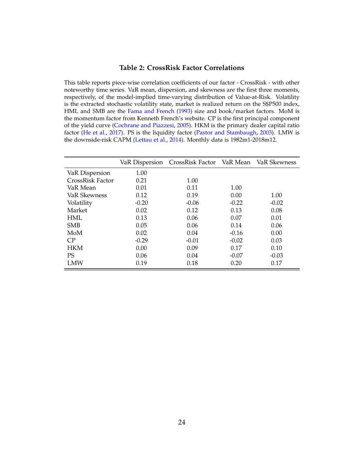### **Table 2: CrossRisk Factor Correlations**

<span id="page-23-0"></span>This table reports piece-wise correlation coefficients of our factor - CrossRisk - with other noteworthy time series. VaR mean, dispersion, and skewness are the first three moments, respectively, of the model-implied time-varying distribution of Value-at-Risk. Volatility is the extracted stochastic volatility state, market is realized return on the S\$P500 index, HML and SMB are the [Fama and French](#page-32-5) [\(1993\)](#page-32-5) size and book/market factors. MoM is the momentum factor from Kenneth French's website. CP is the first principal component of the yield curve [\(Cochrane and Piazzesi,](#page-32-12) [2005\)](#page-32-12). HKM is the primary dealer capital ratio factor [\(He et al.,](#page-33-0) [2017\)](#page-33-0). PS is the liquidity factor [\(Pastor and Stambaugh,](#page-33-10) [2003\)](#page-33-10). LMW is the downside-risk CAPM [\(Lettau et al.,](#page-33-9) [2014\)](#page-33-9). Monthly data is 1982m1-2018m12.

|                  | VaR Dispersion | CrossRisk Factor VaR Mean |         | VaR Skewness |
|------------------|----------------|---------------------------|---------|--------------|
| VaR Dispersion   | 1.00           |                           |         |              |
| CrossRisk Factor | 0.21           | 1.00                      |         |              |
| VaR Mean         | 0.01           | 0.11                      | 1.00    |              |
| VaR Skewness     | 0.12           | 0.19                      | 0.00    | 1.00         |
| Volatility       | $-0.20$        | $-0.06$                   | $-0.22$ | $-0.02$      |
| Market           | 0.02           | 0.12                      | 0.13    | 0.08         |
| <b>HML</b>       | 0.13           | 0.06                      | 0.07    | 0.01         |
| <b>SMB</b>       | 0.05           | 0.06                      | 0.14    | 0.06         |
| MoM              | 0.02           | 0.04                      | $-0.16$ | 0.00         |
| CP               | $-0.29$        | $-0.01$                   | $-0.02$ | 0.03         |
| <b>HKM</b>       | 0.00           | 0.09                      | 0.17    | 0.10         |
| <b>PS</b>        | 0.06           | 0.04                      | $-0.07$ | $-0.03$      |
| LMW              | 0.19           | 0.18                      | 0.20    | 0.17         |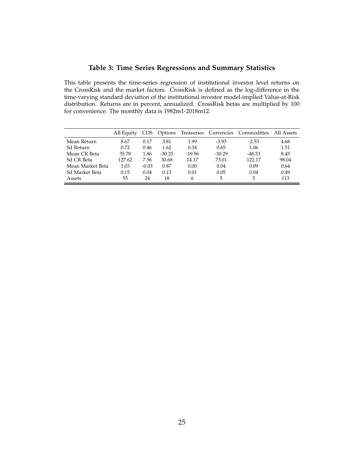### **Table 3: Time Series Regressions and Summary Statistics**

<span id="page-24-0"></span>This table presents the time-series regression of institutional investor level returns on the CrossRisk and the market factors. CrossRisk is defined as the log-difference in the time-varying standard deviation of the institutional investor model-implied Value-at-Risk distribution. Returns are in percent, annualized. CrossRisk betas are multiplied by 100 for convenience. The monthly data is 1982m1-2018m12.

|                  | All Equity |         | Options  |          |          | Treasuries Currencies Commodities | All Assets |
|------------------|------------|---------|----------|----------|----------|-----------------------------------|------------|
| Mean Return      | 8.67       | 0.17    | 3.81     | 1.99     | $-3.93$  | $-2.53$                           | 4.68       |
| Sd Return        | 0.72       | 0.46    | 1.62     | 0.34     | 0.65     | 1.06                              | 1.51       |
| Mean CR Beta     | 35.78      | 1.86    | $-30.25$ | $-19.96$ | $-30.29$ | $-48.53$                          | 8.45       |
| Sd CR Beta       | 127.62     | 7.56    | 30.68    | 14.17    | 73.01    | 122.17                            | 98.04      |
| Mean Market Beta | 1.03       | $-0.03$ | 0.87     | 0.00     | 0.04     | 0.09                              | 0.64       |
| Sd Market Beta   | 0.15       | 0.04    | 0.13     | 0.01     | 0.05     | 0.04                              | 0.49       |
| Assets           | 55         | 24      | 18       | 6        | 5        | 5                                 | 113        |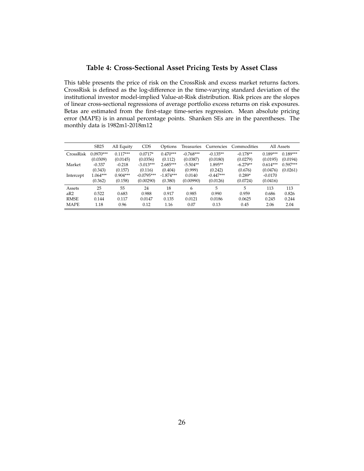### **Table 4: Cross-Sectional Asset Pricing Tests by Asset Class**

<span id="page-25-0"></span>This table presents the price of risk on the CrossRisk and excess market returns factors. CrossRisk is defined as the log-difference in the time-varying standard deviation of the institutional investor model-implied Value-at-Risk distribution. Risk prices are the slopes of linear cross-sectional regressions of average portfolio excess returns on risk exposures. Betas are estimated from the first-stage time-series regression. Mean absolute pricing error (MAPE) is in annual percentage points. Shanken SEs are in the parentheses. The monthly data is 1982m1-2018m12

|             | <b>SB25</b> | All Equity | <b>CDS</b>   | Options     | Treasuries  | Currencies  | Commodities |            | All Assets |
|-------------|-------------|------------|--------------|-------------|-------------|-------------|-------------|------------|------------|
| CrossRisk   | $0.0970***$ | $0.117***$ | $0.0717*$    | $0.470***$  | $-0.768***$ | $-0.135**$  | $-0.178**$  | $0.189***$ | $0.189***$ |
|             | (0.0309)    | (0.0145)   | (0.0356)     | (0.112)     | (0.0387)    | (0.0180)    | (0.0279)    | (0.0195)   | (0.0194)   |
| Market      | $-0.337$    | $-0.218$   | $-3.013***$  | $2.685***$  | $-5.504**$  | 1.895**     | $-6.279**$  | $0.614***$ | $0.597***$ |
|             | (0.343)     | (0.157)    | (0.116)      | (0.404)     | (0.999)     | (0.242)     | (0.676)     | (0.0476)   | (0.0261)   |
| Intercept   | $1.064***$  | $0.904***$ | $-0.0795***$ | $-1.874***$ | 0.0140      | $-0.447***$ | $0.289*$    | $-0.0170$  |            |
|             | (0.362)     | (0.158)    | (0.00290)    | (0.380)     | (0.00990)   | (0.0126)    | (0.0724)    | (0.0416)   |            |
| Assets      | 25          | 55         | 24           | 18          | 6           | 5           | 5           | 113        | 113        |
| aR2         | 0.522       | 0.683      | 0.988        | 0.917       | 0.985       | 0.990       | 0.959       | 0.686      | 0.826      |
| <b>RMSE</b> | 0.144       | 0.117      | 0.0147       | 0.135       | 0.0121      | 0.0186      | 0.0625      | 0.245      | 0.244      |
| <b>MAPE</b> | 1.18        | 0.96       | 0.12         | 1.16        | 0.07        | 0.13        | 0.45        | 2.06       | 2.04       |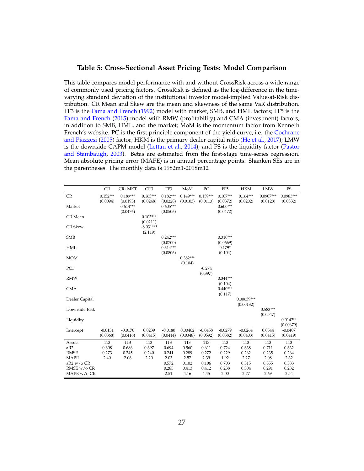### <span id="page-26-0"></span>**Table 5: Cross-Sectional Asset Pricing Tests: Model Comparison**

This table compares model performance with and without CrossRisk across a wide range of commonly used pricing factors. CrossRisk is defined as the log-difference in the timevarying standard deviation of the institutional investor model-implied Value-at-Risk distribution. CR Mean and Skew are the mean and skewness of the same VaR distribution. FF3 is the [Fama and French](#page-32-13) [\(1992\)](#page-32-13) model with market, SMB, and HML factors; FF5 is the [Fama and French](#page-32-6) [\(2015\)](#page-32-6) model with RMW (profitability) and CMA (investment) factors, in addition to SMB, HML, and the market; MoM is the momentum factor from Kenneth French's website. PC is the first principle component of the yield curve, i.e. the [Cochrane](#page-32-12) [and Piazzesi](#page-32-12) [\(2005\)](#page-32-12) factor; HKM is the primary dealer capital ratio [\(He et al.,](#page-33-0) [2017\)](#page-33-0); LMW is the downside CAPM model [\(Lettau et al.,](#page-33-9) [2014\)](#page-33-9); and PS is the liquidity factor [\(Pastor](#page-33-10) [and Stambaugh,](#page-33-10) [2003\)](#page-33-10). Betas are estimated from the first-stage time-series regression. Mean absolute pricing error (MAPE) is in annual percentage points. Shanken SEs are in the parentheses. The monthly data is 1982m1-2018m12

|                | CR                     | CR+MKT                 | CR <sub>3</sub>        | FF3                    | MoM                    | PC                     | FF <sub>5</sub>        | <b>HKM</b>                | <b>LMW</b>              | PS                      |
|----------------|------------------------|------------------------|------------------------|------------------------|------------------------|------------------------|------------------------|---------------------------|-------------------------|-------------------------|
| CR             | $0.152***$<br>(0.0094) | $0.189***$<br>(0.0195) | $0.165***$<br>(0.0248) | $0.182***$<br>(0.0228) | $0.149***$<br>(0.0103) | $0.159***$<br>(0.0113) | $0.107***$<br>(0.0372) | $0.164***$<br>(0.0202)    | $0.0907***$<br>(0.0123) | $0.0983***$<br>(0.0332) |
| Market         |                        | $0.614***$<br>(0.0476) |                        | $0.605***$<br>(0.0506) |                        |                        | $0.600***$<br>(0.0472) |                           |                         |                         |
| CR Mean        |                        |                        | $0.103***$<br>(0.0211) |                        |                        |                        |                        |                           |                         |                         |
| <b>CR Skew</b> |                        |                        | $-8.031***$<br>(2.119) |                        |                        |                        |                        |                           |                         |                         |
| <b>SMB</b>     |                        |                        |                        | $0.242***$<br>(0.0700) |                        |                        | $0.310***$<br>(0.0669) |                           |                         |                         |
| <b>HML</b>     |                        |                        |                        | $0.314***$<br>(0.0806) |                        |                        | $0.179*$<br>(0.104)    |                           |                         |                         |
| <b>MOM</b>     |                        |                        |                        |                        | $0.382***$<br>(0.104)  |                        |                        |                           |                         |                         |
| PC1            |                        |                        |                        |                        |                        | $-0.274$<br>(0.397)    |                        |                           |                         |                         |
| <b>RMW</b>     |                        |                        |                        |                        |                        |                        | $0.344***$<br>(0.104)  |                           |                         |                         |
| <b>CMA</b>     |                        |                        |                        |                        |                        |                        | $0.440***$<br>(0.117)  |                           |                         |                         |
| Dealer Capital |                        |                        |                        |                        |                        |                        |                        | $0.00639***$<br>(0.00132) |                         |                         |
| Downside Risk  |                        |                        |                        |                        |                        |                        |                        |                           | $0.583***$<br>(0.0547)  |                         |
| Liquidity      |                        |                        |                        |                        |                        |                        |                        |                           |                         | $0.0142**$<br>(0.00679) |
| Intercept      | $-0.0131$<br>(0.0368)  | $-0.0170$<br>(0.0416)  | 0.0239<br>(0.0415)     | $-0.0180$<br>(0.0414)  | 0.00402<br>(0.0348)    | $-0.0458$<br>(0.0592)  | $-0.0279$<br>(0.0382)  | $-0.0264$<br>(0.0403)     | 0.0544<br>(0.0415)      | $-0.0407$<br>(0.0419)   |
| Assets         | 113                    | 113                    | 113                    | 113                    | 113                    | 113                    | 113                    | 113                       | 113                     | 113                     |
| aR2            | 0.608                  | 0.686                  | 0.697                  | 0.694                  | 0.560                  | 0.611                  | 0.724                  | 0.638                     | 0.711                   | 0.632                   |
| <b>RMSE</b>    | 0.273                  | 0.245                  | 0.240                  | 0.241                  | 0.289                  | 0.272                  | 0.229                  | 0.262                     | 0.235                   | 0.264                   |
| <b>MAPE</b>    | 2.40                   | 2.06                   | 2.20                   | 2.03                   | 2.57                   | 2.39                   | 1.92                   | 2.27                      | 2.08                    | 2.32                    |
| aR2 w/o CR     |                        |                        |                        | 0.572                  | 0.102                  | 0.106                  | 0.703                  | 0.515                     | 0.555                   | 0.583                   |
| RMSE w/o CR    |                        |                        |                        | 0.285                  | 0.413                  | 0.412                  | 0.238                  | 0.304                     | 0.291                   | 0.282                   |
| MAPE w/o CR    |                        |                        |                        | 2.51                   | 4.16                   | 4.45                   | 2.00                   | 2.77                      | 2.69                    | 2.54                    |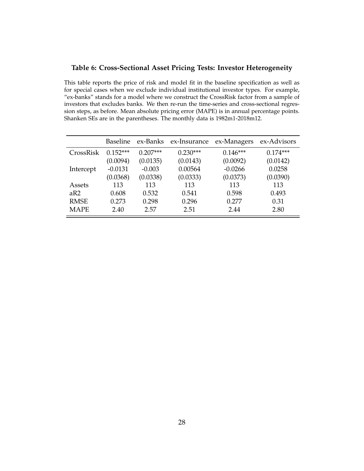### <span id="page-27-0"></span>**Table 6: Cross-Sectional Asset Pricing Tests: Investor Heterogeneity**

This table reports the price of risk and model fit in the baseline specification as well as for special cases when we exclude individual institutional investor types. For example, "ex-banks" stands for a model where we construct the CrossRisk factor from a sample of investors that excludes banks. We then re-run the time-series and cross-sectional regression steps, as before. Mean absolute pricing error (MAPE) is in annual percentage points. Shanken SEs are in the parentheses. The monthly data is 1982m1-2018m12.

|             | <b>Baseline</b> | ex-Banks   | ex-Insurance | ex-Managers | ex-Advisors |
|-------------|-----------------|------------|--------------|-------------|-------------|
| CrossRisk   | $0.152***$      | $0.207***$ | $0.230***$   | $0.146***$  | $0.174***$  |
|             | (0.0094)        | (0.0135)   | (0.0143)     | (0.0092)    | (0.0142)    |
| Intercept   | $-0.0131$       | $-0.003$   | 0.00564      | $-0.0266$   | 0.0258      |
|             | (0.0368)        | (0.0338)   | (0.0333)     | (0.0373)    | (0.0390)    |
| Assets      | 113             | 113        | 113          | 113         | 113         |
| aR2         | 0.608           | 0.532      | 0.541        | 0.598       | 0.493       |
| <b>RMSE</b> | 0.273           | 0.298      | 0.296        | 0.277       | 0.31        |
| <b>MAPE</b> | 2.40            | 2.57       | 2.51         | 2.44        | 2.80        |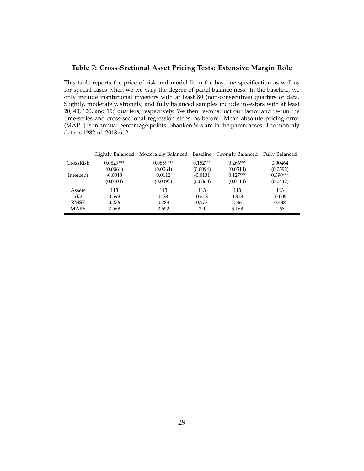### <span id="page-28-0"></span>**Table 7: Cross-Sectional Asset Pricing Tests: Extensive Margin Role**

This table reports the price of risk and model fit in the baseline specification as well as for special cases when we we vary the degree of panel balance-ness. In the baseline, we only include institutional investors with at least 80 (non-consecutive) quarters of data. Slightly, moderately, strongly, and fully balanced samples include investors with at least 20, 40, 120, and 156 quarters, respectively. We then re-construct our factor and re-run the time-series and cross-sectional regression steps, as before. Mean absolute pricing error (MAPE) is in annual percentage points. Shanken SEs are in the parentheses. The monthly data is 1982m1-2018m12.

|             |             | Slightly Balanced Moderately Balanced Baseline Strongly Balanced |            |            | <b>Fully Balanced</b> |
|-------------|-------------|------------------------------------------------------------------|------------|------------|-----------------------|
| CrossRisk   | $0.0829***$ | $0.0859***$                                                      | $0.152***$ | $0.266***$ | 0.00464               |
|             | (0.0061)    | (0.0064)                                                         | (0.0094)   | (0.0514)   | (0.0592)              |
| Intercept   | $-0.0018$   | 0.0112                                                           | $-0.0131$  | $0.127***$ | $0.390***$            |
|             | (0.0403)    | (0.0397)                                                         | (0.0368)   | (0.0414)   | (0.0447)              |
| Assets      | 113         | 113                                                              | 113        | 113        | 113                   |
| aR2         | 0.599       | 0.58                                                             | 0.608      | 0.318      | $-0.009$              |
| <b>RMSE</b> | 0.276       | 0.283                                                            | 0.273      | 0.36       | 0.438                 |
| <b>MAPE</b> | 2.568       | 2.652                                                            | 2.4        | 3.168      | 4.68                  |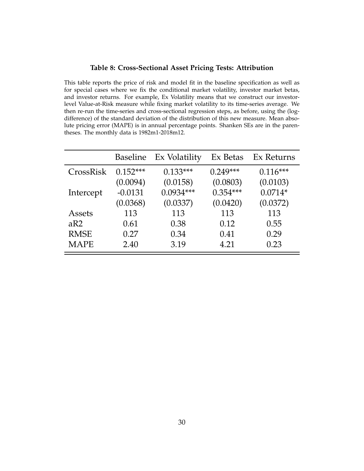### **Table 8: Cross-Sectional Asset Pricing Tests: Attribution**

<span id="page-29-0"></span>This table reports the price of risk and model fit in the baseline specification as well as for special cases where we fix the conditional market volatility, investor market betas, and investor returns. For example, Ex Volatility means that we construct our investorlevel Value-at-Risk measure while fixing market volatility to its time-series average. We then re-run the time-series and cross-sectional regression steps, as before, using the (logdifference) of the standard deviation of the distribution of this new measure. Mean absolute pricing error (MAPE) is in annual percentage points. Shanken SEs are in the parentheses. The monthly data is 1982m1-2018m12.

|             | <b>Baseline</b> | Ex Volatility | Ex Betas   | Ex Returns |
|-------------|-----------------|---------------|------------|------------|
| CrossRisk   | $0.152***$      | $0.133***$    | $0.249***$ | $0.116***$ |
|             | (0.0094)        | (0.0158)      | (0.0803)   | (0.0103)   |
| Intercept   | $-0.0131$       | $0.0934***$   | $0.354***$ | $0.0714*$  |
|             | (0.0368)        | (0.0337)      | (0.0420)   | (0.0372)   |
| Assets      | 113             | 113           | 113        | 113        |
| aR2         | 0.61            | 0.38          | 0.12       | 0.55       |
| <b>RMSE</b> | 0.27            | 0.34          | 0.41       | 0.29       |
| <b>MAPE</b> | 2.40            | 3.19          | 4.21       | 0.23       |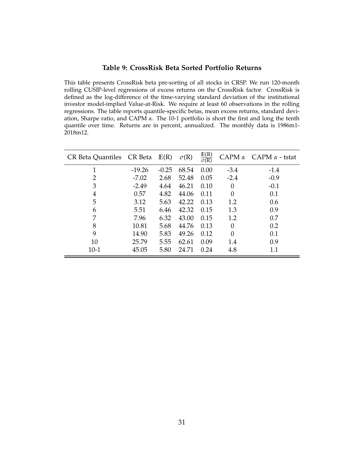### **Table 9: CrossRisk Beta Sorted Portfolio Returns**

<span id="page-30-0"></span>This table presents CrossRisk beta pre-sorting of all stocks in CRSP. We run 120-month rolling CUSIP-level regressions of excess returns on the CrossRisk factor. CrossRisk is defined as the log-difference of the time-varying standard deviation of the institutional investor model-implied Value-at-Risk. We require at least 60 observations in the rolling regressions. The table reports quantile-specific betas, mean excess returns, standard deviation, Sharpe ratio, and CAPM *α*. The 10-1 portfolio is short the first and long the tenth quantile over time. Returns are in percent, annualized. The monthly data is 1986m1- 2018m12.

| CR Beta Quantiles CR Beta |          | E(R)    | $\sigma(R)$ | $\frac{\mathbb{E}(\mathbb{R})}{\sigma(\mathbb{R})}$ |          | CAPM $\alpha$ CAPM $\alpha$ - tstat |
|---------------------------|----------|---------|-------------|-----------------------------------------------------|----------|-------------------------------------|
| 1                         | $-19.26$ | $-0.25$ | 68.54       | 0.00                                                | $-3.4$   | $-1.4$                              |
| 2                         | $-7.02$  | 2.68    | 52.48       | 0.05                                                | $-2.4$   | $-0.9$                              |
| 3                         | $-2.49$  | 4.64    | 46.21       | 0.10                                                | $\Omega$ | $-0.1$                              |
| 4                         | 0.57     | 4.82    | 44.06       | 0.11                                                | $\Omega$ | 0.1                                 |
| 5                         | 3.12     | 5.63    | 42.22       | 0.13                                                | 1.2      | 0.6                                 |
| 6                         | 5.51     | 6.46    | 42.32       | 0.15                                                | 1.3      | 0.9                                 |
| 7                         | 7.96     | 6.32    | 43.00       | 0.15                                                | 1.2      | 0.7                                 |
| 8                         | 10.81    | 5.68    | 44.76       | 0.13                                                | 0        | 0.2                                 |
| 9                         | 14.90    | 5.83    | 49.26       | 0.12                                                | $\Omega$ | 0.1                                 |
| 10                        | 25.79    | 5.55    | 62.61       | 0.09                                                | 1.4      | 0.9                                 |
| $10-1$                    | 45.05    | 5.80    | 24.71       | 0.24                                                | 4.8      | 1.1                                 |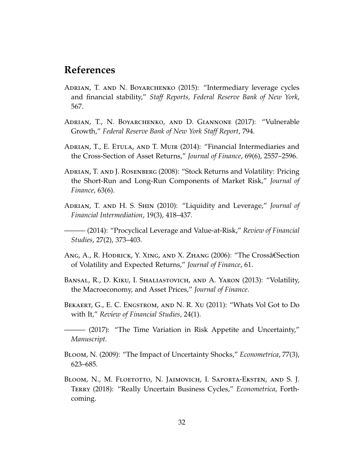## **References**

- <span id="page-31-2"></span>Adrian, T. and N. Boyarchenko (2015): "Intermediary leverage cycles and financial stability," *Staff Reports, Federal Reserve Bank of New York*, 567.
- <span id="page-31-10"></span>Adrian, T., N. Boyarchenko, and D. Giannone (2017): "Vulnerable Growth," *Federal Reserve Bank of New York Staff Report*, 794.
- <span id="page-31-0"></span>ADRIAN, T., E. ETULA, AND T. MUIR (2014): "Financial Intermediaries and the Cross-Section of Asset Returns," *Journal of Finance*, 69(6), 2557–2596.
- <span id="page-31-7"></span>Adrian, T. and J. Rosenberg (2008): "Stock Returns and Volatility: Pricing the Short-Run and Long-Run Components of Market Risk," *Journal of Finance*, 63(6).
- <span id="page-31-8"></span>Adrian, T. and H. S. Shin (2010): "Liquidity and Leverage," *Journal of Financial Intermediation*, 19(3), 418–437.
- <span id="page-31-1"></span>——— (2014): "Procyclical Leverage and Value-at-Risk," *Review of Financial Studies*, 27(2), 373–403.
- <span id="page-31-9"></span>Ang, A., R. Hodrick, Y. Xing, and X. Zhang (2006): "The Crossâ€Section of Volatility and Expected Returns," *Journal of Finance*, 61.
- <span id="page-31-11"></span>Bansal, R., D. Kiku, I. Shaliastovich, and A. Yaron (2013): "Volatility, the Macroeconomy, and Asset Prices," *Journal of Finance*.
- <span id="page-31-6"></span>Bekaert, G., E. C. Engstrom, and N. R. Xu (2011): "Whats Vol Got to Do with It," *Review of Financial Studies*, 24(1).
- <span id="page-31-5"></span>——— (2017): "The Time Variation in Risk Appetite and Uncertainty," *Manuscript*.
- <span id="page-31-3"></span>Bloom, N. (2009): "The Impact of Uncertainty Shocks," *Econometrica*, 77(3), 623–685.
- <span id="page-31-4"></span>Bloom, N., M. Floetotto, N. Jaimovich, I. Saporta-Eksten, and S. J. Terry (2018): "Really Uncertain Business Cycles," *Econometrica*, Forthcoming.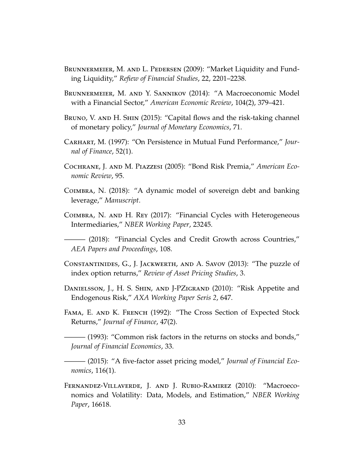- <span id="page-32-7"></span>Brunnermeier, M. and L. Pedersen (2009): "Market Liquidity and Funding Liquidity," *Refiew of Financial Studies*, 22, 2201–2238.
- <span id="page-32-8"></span>Brunnermeier, M. and Y. Sannikov (2014): "A Macroeconomic Model with a Financial Sector," *American Economic Review*, 104(2), 379–421.
- <span id="page-32-3"></span>BRUNO, V. AND H. SHIN (2015): "Capital flows and the risk-taking channel of monetary policy," *Journal of Monetary Economics*, 71.
- <span id="page-32-11"></span>Carhart, M. (1997): "On Persistence in Mutual Fund Performance," *Journal of Finance*, 52(1).
- <span id="page-32-12"></span>Cochrane, J. and M. Piazzesi (2005): "Bond Risk Premia," *American Economic Review*, 95.
- <span id="page-32-1"></span>Coimbra, N. (2018): "A dynamic model of sovereign debt and banking leverage," *Manuscript*.
- <span id="page-32-0"></span>Coimbra, N. and H. Rey (2017): "Financial Cycles with Heterogeneous Intermediaries," *NBER Working Paper*, 23245.

<span id="page-32-4"></span>——— (2018): "Financial Cycles and Credit Growth across Countries," *AEA Papers and Proceedings*, 108.

- <span id="page-32-10"></span>Constantinides, G., J. Jackwerth, and A. Savov (2013): "The puzzle of index option returns," *Review of Asset Pricing Studies*, 3.
- <span id="page-32-2"></span>DANIELSSON, J., H. S. SHIN, AND J-PZIGRAND (2010): "Risk Appetite and Endogenous Risk," *AXA Working Paper Seris 2*, 647.
- <span id="page-32-13"></span>FAMA, E. AND K. FRENCH (1992): "The Cross Section of Expected Stock Returns," *Journal of Finance*, 47(2).

<span id="page-32-5"></span>——— (1993): "Common risk factors in the returns on stocks and bonds," *Journal of Financial Economics*, 33.

<span id="page-32-6"></span>——— (2015): "A five-factor asset pricing model," *Journal of Financial Economics*, 116(1).

<span id="page-32-9"></span>Fernandez-Villaverde, J. and J. Rubio-Ramirez (2010): "Macroeconomics and Volatility: Data, Models, and Estimation," *NBER Working Paper*, 16618.